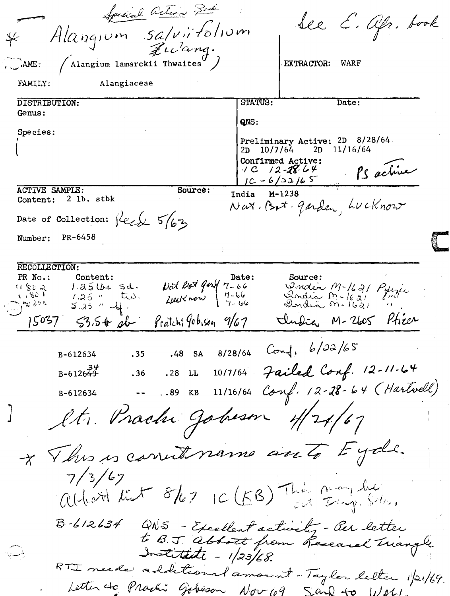Special action Pork See E. Afr. book Alangium salviitolium  $Z$ icanq.  $\sqrt{$  Alangium lamarckii Thwaites $^{\prime\prime}$   $\left/$  $\sum_{k}$   $\sum_{k}$ **EXTRACTOR:** WARF FAMILY: Alangiaceae STATUS: Date: DISTRIBUTION: Genus: QNS: Species: Preliminary Active: 2D 8/28/64. 2D 10/7/64 2D 11/16/64 Confirmed Active: PS active  $1C$   $12 - 28 - 64$  $10 - 6/22/65$ **ACTIVE SAMPLE:** Source:  $M-1238$ India Content: 2 lb. stbk Nat. But. Jarden, LUCKnow Date of Collection: fleed 5/63 PR-6458 Number: RECOLLECTION: PR No.: Content: Source: Date:  $\nu$ d bot gard  $\tau$ -66 Ondia M-1621 Pyrzei  $11802$  $1.25$   $U_{4}$  sd. أتكلان Lucknow  $\frac{7-66}{7-66}$  $1.25$  "  $\zeta$ ndia  $m$ -16 $g$  $t\omega$ . **AN 800**  $5.25$  "  $\frac{1}{2}$ India  $m-1621$ Undia M-2605 Phier  $15037$  $53.5$  # sb Pratchi Gobison 9/67  $8/28/64$  Conf,  $6/22/65$  $.48$ **SA** B-612634 . 35 10/7/64 Failed Conf. 12-11-64  $B - 6126 + 3$  $.36$ .28 LL  $11/16/64$  Conf. 12-28-64 (Hartvell) B-612634  $\frac{1}{2}$  $.89$  KB It. Prachi Johnson 4/21/67 \* This is carried name anto Eyde.  $7/3/67$ aitest test 8/67 10 (5B) This may be  $B - 12634$ QNS - Excellent activity - Ger letter to BJ abbott from Research Triangle Institute - 1/23/68. وأبسسه الأ RTI needs additional amount-Taylor letter 1/21/69. Letter do Prachi Gobeson Nov 109 Sand to Watch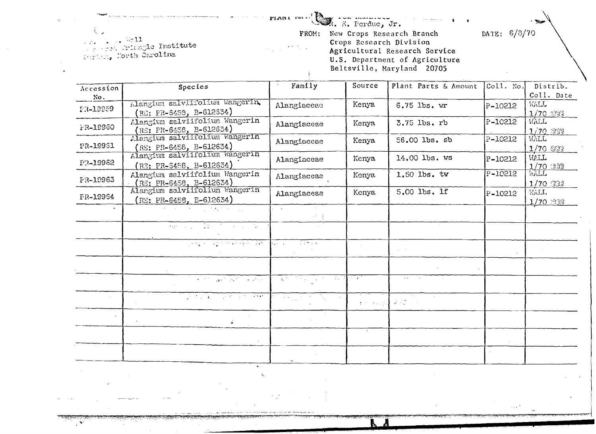PLAN1  $\text{res}$ .  $\mathbb{R}$ . E. Perdue, Jr.

DATE: 6/8/70

 $5511$ We wish Triangle Institute

FROM: New Crops Research Branch<br>Crops Research Division<br>Agricultural Research Service<br>U.S. Department of Agriculture<br>Beltsville, Maryland 20705

| Accession | Species                                                                                                                                                                                                                                  | Family                                                                                                                                                                                                             | Source         | Plant Parts & Amount | $ $ Coll. No. | Distrib.         |
|-----------|------------------------------------------------------------------------------------------------------------------------------------------------------------------------------------------------------------------------------------------|--------------------------------------------------------------------------------------------------------------------------------------------------------------------------------------------------------------------|----------------|----------------------|---------------|------------------|
| No.       |                                                                                                                                                                                                                                          |                                                                                                                                                                                                                    |                |                      |               | Coll. Date       |
| FR-19959  | Alangium salviifolium Wangerin                                                                                                                                                                                                           | Alangiaceae                                                                                                                                                                                                        | Kenya          | $6.75$ lbs. $wr$     | P-10212       | <b>WALL</b>      |
|           | $(RE: PR-6453, B-612334)$                                                                                                                                                                                                                |                                                                                                                                                                                                                    |                |                      |               | $1/70$ GOO $-$   |
| FR-19960  | Alangium salviifolium Wangerin                                                                                                                                                                                                           | Alangiaceae                                                                                                                                                                                                        | Kenya          | 3.75 lbs. rb         | P-10212       | WALL             |
|           | $(RE: PR-6458, B-612634)$<br>Alangium salviifolium Wangerin                                                                                                                                                                              |                                                                                                                                                                                                                    |                |                      |               | 1/70.999         |
| PR-19961  | $(RE: PR-6458, B-612634)$                                                                                                                                                                                                                | Alangiaceae                                                                                                                                                                                                        | Kenya          | 56.00 lbs. sb        | P-10212       | WALL             |
|           | Alangium salviifolium Wangerin                                                                                                                                                                                                           |                                                                                                                                                                                                                    |                |                      |               | $1/70$ GF2       |
| PR-19962  | $(R2: PR-6458, B-612634)$                                                                                                                                                                                                                | Alangiaceae                                                                                                                                                                                                        | Kenya          | 14.00 lbs. WS        | P-10212       | WALL             |
|           | Alangium salviifolium Wangerin                                                                                                                                                                                                           |                                                                                                                                                                                                                    | Kenya          | 1.50 lbs. tw         | P-10212       | 1/70.222<br>WALL |
| FR-19963  | (RE: PR-6458, B-612634)                                                                                                                                                                                                                  | $\Lambda$ langiaceae                                                                                                                                                                                               |                |                      |               | $1/70$ Ti        |
| FR-19964  | Alangium salviifolium Wangerin                                                                                                                                                                                                           | Alangiaceae                                                                                                                                                                                                        | Kenya.         | 5.00 lbs. lf         | P-10212       | WALL.            |
|           | $(RE: PR_6458, B-612634)$                                                                                                                                                                                                                |                                                                                                                                                                                                                    |                |                      |               | $1/70$ MR        |
|           | $\mathcal{L}_{\rm{max}}$ and the contract of the contract of the contract of the contract of the contract of the contract of the contract of the contract of the contract of the contract of the contract of the contract of the contrac | in a sh                                                                                                                                                                                                            |                |                      |               |                  |
|           |                                                                                                                                                                                                                                          | $\{1,2,3,5\}$                                                                                                                                                                                                      |                |                      |               |                  |
|           |                                                                                                                                                                                                                                          |                                                                                                                                                                                                                    |                |                      |               |                  |
|           |                                                                                                                                                                                                                                          |                                                                                                                                                                                                                    |                |                      |               |                  |
|           | <u>tera e la presencia del </u>                                                                                                                                                                                                          | NGC 1988 NASA                                                                                                                                                                                                      |                |                      |               |                  |
|           |                                                                                                                                                                                                                                          |                                                                                                                                                                                                                    |                |                      |               |                  |
|           |                                                                                                                                                                                                                                          |                                                                                                                                                                                                                    |                |                      |               |                  |
|           | $\label{eq:2} \mathcal{L}_{\mathcal{C}}(x,y) = \frac{1}{2} \mathcal{L}_{\mathcal{C}}(x,y) \mathcal{L}_{\mathcal{C}}(x,y) \mathcal{L}_{\mathcal{C}}(x,y)$                                                                                 | 지역 아직의 지역 사람이                                                                                                                                                                                                      | $\sim 10^{-7}$ |                      |               |                  |
|           |                                                                                                                                                                                                                                          |                                                                                                                                                                                                                    |                |                      |               |                  |
|           | <b>Contract Contract Contract</b>                                                                                                                                                                                                        | $\label{eq:2} \mathcal{L}^{\mathcal{A}}\left(\mathcal{A}^{\mathcal{A}}\right) = \mathcal{L}^{\mathcal{A}}\left(\mathcal{A}^{\mathcal{A}}\right) = \mathcal{L}^{\mathcal{A}}\left(\mathcal{A}^{\mathcal{A}}\right)$ |                | Fig.                 |               |                  |
|           |                                                                                                                                                                                                                                          |                                                                                                                                                                                                                    |                | En algebrate in      |               |                  |
|           |                                                                                                                                                                                                                                          |                                                                                                                                                                                                                    |                |                      |               |                  |
|           |                                                                                                                                                                                                                                          |                                                                                                                                                                                                                    |                |                      |               |                  |
|           |                                                                                                                                                                                                                                          |                                                                                                                                                                                                                    |                |                      |               |                  |
|           |                                                                                                                                                                                                                                          |                                                                                                                                                                                                                    |                |                      |               |                  |
|           |                                                                                                                                                                                                                                          |                                                                                                                                                                                                                    |                |                      |               |                  |
|           |                                                                                                                                                                                                                                          |                                                                                                                                                                                                                    |                |                      |               |                  |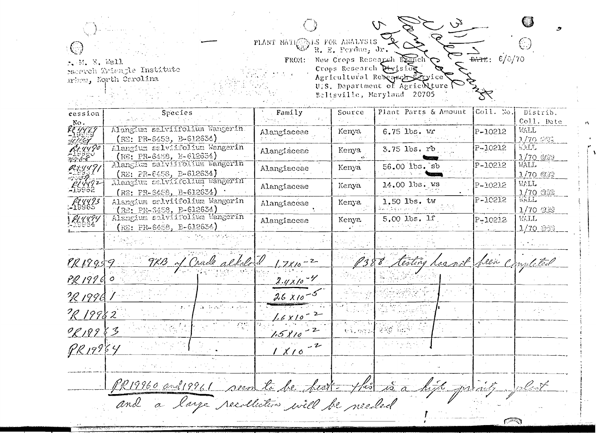$\tau$ PLANT NATIONAL FOR ANALYSIS  $\mathbb{C}$  $\frac{1}{\sqrt{2}}$   $6/0$ New Crops Research Banch r. M. E. Wall<br>reserveh Triengle Institute<br>mhow, North Carolina FROM: vice: U.S. Department of Agriculture

Beltsville, Maryland 20705 a sa Si

 $C^{22}$ 

| cession<br>No.                                | Species                                                           | Family                | Source    | Plant Parts & Amount            | $\begin{bmatrix} \texttt{Coll.}\ \texttt{Nol.} \end{bmatrix}$ | Distrib.<br>Coll. Date                  |
|-----------------------------------------------|-------------------------------------------------------------------|-----------------------|-----------|---------------------------------|---------------------------------------------------------------|-----------------------------------------|
| <b>KE</b> 448.J                               | Alangium selviifolium Wangerin.<br>$(RE: PR-6453, B-612634)$      | Alangiaceae           | Kenya     | 6.75 lbs. wr                    | P-10212                                                       | WALL<br>1/70 986                        |
| <u>unizi</u><br>Kr.4490<br>مانز بود.<br>منابع | Alangium salviifolium Wangerin<br>(RE: PR-6458, E-612634)         | Alangiaceae           | Kenya     | $3.75$ lbs. $r$ b               | P-10212                                                       | 1.317<br>$1/70$ @ $99$                  |
| RXYY I F                                      | Alangium salviitolium Wangerin<br>$(RE; PR=6458, B=612634)$       | Alangiaceae           | Kenya     | $56.00$ $1$ bs. $sb$            | P-10212                                                       | WALL.<br>$1/70$ $@39$                   |
| 7769<br>LIYY92<br>19962                       | Alangium salviifolium Wangerin<br>$(RB: PR-6458, B-612634)$       | Alangiaceae           | Kenya     | $14.00$ lbs. $W5$               | P-10212                                                       | <b>WALL</b>                             |
| f4yy93<br>19965                               | Alangium selviifolium Wangerin<br><u>(RE: PR-S458, B-</u> 612634) | Alangiaceae           | Kenya     | 1.50 lbs. tw                    | $F - 10212$                                                   | $\frac{1/70}{\sqrt{111}}$<br>$1/70$ 252 |
| U U U U U                                     | Alangium salviitolium Wangerin<br>(RE: PR-6458, B-612634)         | Alangiacese           | Kenya     | $5.00$ lbs. lf.                 | P-10212                                                       | W.LL<br>1/70 202                        |
|                                               |                                                                   |                       |           |                                 |                                                               |                                         |
| PR19959                                       | 9KB of Crude alkalord                                             | $1.7810 - 2$          |           | 8 testing hearof been completed |                                                               |                                         |
| PR 19960                                      |                                                                   | $2.4 \times 10^{-11}$ |           |                                 |                                                               |                                         |
| IR 1996                                       |                                                                   | $2.6 \times 10^{-5}$  |           |                                 |                                                               |                                         |
| PR 19982                                      | $\Delta$ , then $\mathcal{E}_\mathcal{P}$ , i.e., where           | $1.6 \times 10^{-2}$  |           |                                 |                                                               |                                         |
| 9819883                                       |                                                                   | $1.5810 - 2$          | Protestad | 강의회 위소가                         |                                                               |                                         |
| PR19964                                       |                                                                   | $-2$<br>1 X10         |           |                                 |                                                               |                                         |
|                                               |                                                                   |                       |           |                                 |                                                               |                                         |
|                                               | PR19960 and 19961 seen to be feart- this is a high privile        |                       |           |                                 |                                                               | <u>les Cart</u>                         |
|                                               | and a large recollection will be needed                           |                       |           |                                 |                                                               |                                         |